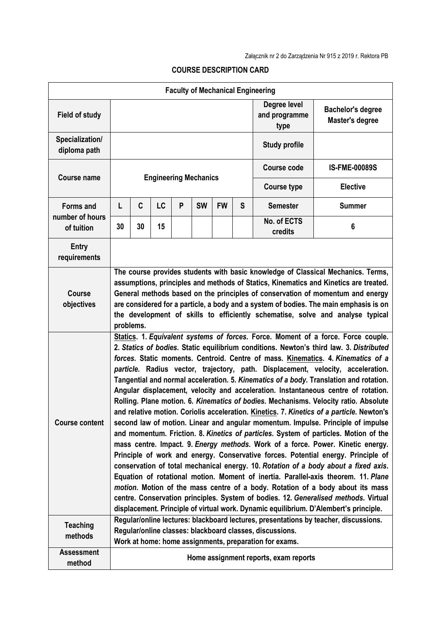|                                          |                                                                                                                                                                                                                                                                                                                                                                                                                                                    |                                                                                                                                                                                                                                                                                                                                                                                                                                                                                                                                                                                                                                                                                                                                                                                                                                                                                                                                                                                                                                                                                                                                                                                                                                                                                                                                                                                                                                                                                                                                                                                                                      |    |   |           |           |                                       | <b>Faculty of Mechanical Engineering</b>    |                      |  |  |
|------------------------------------------|----------------------------------------------------------------------------------------------------------------------------------------------------------------------------------------------------------------------------------------------------------------------------------------------------------------------------------------------------------------------------------------------------------------------------------------------------|----------------------------------------------------------------------------------------------------------------------------------------------------------------------------------------------------------------------------------------------------------------------------------------------------------------------------------------------------------------------------------------------------------------------------------------------------------------------------------------------------------------------------------------------------------------------------------------------------------------------------------------------------------------------------------------------------------------------------------------------------------------------------------------------------------------------------------------------------------------------------------------------------------------------------------------------------------------------------------------------------------------------------------------------------------------------------------------------------------------------------------------------------------------------------------------------------------------------------------------------------------------------------------------------------------------------------------------------------------------------------------------------------------------------------------------------------------------------------------------------------------------------------------------------------------------------------------------------------------------------|----|---|-----------|-----------|---------------------------------------|---------------------------------------------|----------------------|--|--|
| <b>Field of study</b>                    |                                                                                                                                                                                                                                                                                                                                                                                                                                                    |                                                                                                                                                                                                                                                                                                                                                                                                                                                                                                                                                                                                                                                                                                                                                                                                                                                                                                                                                                                                                                                                                                                                                                                                                                                                                                                                                                                                                                                                                                                                                                                                                      |    |   |           |           | Degree level<br>and programme<br>type | <b>Bachelor's degree</b><br>Master's degree |                      |  |  |
| Specialization/<br>diploma path          |                                                                                                                                                                                                                                                                                                                                                                                                                                                    |                                                                                                                                                                                                                                                                                                                                                                                                                                                                                                                                                                                                                                                                                                                                                                                                                                                                                                                                                                                                                                                                                                                                                                                                                                                                                                                                                                                                                                                                                                                                                                                                                      |    |   |           |           |                                       | <b>Study profile</b>                        |                      |  |  |
| <b>Course name</b>                       | <b>Engineering Mechanics</b>                                                                                                                                                                                                                                                                                                                                                                                                                       |                                                                                                                                                                                                                                                                                                                                                                                                                                                                                                                                                                                                                                                                                                                                                                                                                                                                                                                                                                                                                                                                                                                                                                                                                                                                                                                                                                                                                                                                                                                                                                                                                      |    |   |           |           |                                       | <b>Course code</b>                          | <b>IS-FME-00089S</b> |  |  |
|                                          |                                                                                                                                                                                                                                                                                                                                                                                                                                                    |                                                                                                                                                                                                                                                                                                                                                                                                                                                                                                                                                                                                                                                                                                                                                                                                                                                                                                                                                                                                                                                                                                                                                                                                                                                                                                                                                                                                                                                                                                                                                                                                                      |    |   |           |           |                                       | <b>Course type</b>                          | <b>Elective</b>      |  |  |
| <b>Forms and</b>                         | L                                                                                                                                                                                                                                                                                                                                                                                                                                                  | C                                                                                                                                                                                                                                                                                                                                                                                                                                                                                                                                                                                                                                                                                                                                                                                                                                                                                                                                                                                                                                                                                                                                                                                                                                                                                                                                                                                                                                                                                                                                                                                                                    | LC | P | <b>SW</b> | <b>FW</b> | S                                     | <b>Semester</b>                             | <b>Summer</b>        |  |  |
| number of hours<br>of tuition            | 30                                                                                                                                                                                                                                                                                                                                                                                                                                                 | 30                                                                                                                                                                                                                                                                                                                                                                                                                                                                                                                                                                                                                                                                                                                                                                                                                                                                                                                                                                                                                                                                                                                                                                                                                                                                                                                                                                                                                                                                                                                                                                                                                   | 15 |   |           |           |                                       | No. of ECTS<br>credits                      | 6                    |  |  |
| <b>Entry</b><br>requirements             |                                                                                                                                                                                                                                                                                                                                                                                                                                                    |                                                                                                                                                                                                                                                                                                                                                                                                                                                                                                                                                                                                                                                                                                                                                                                                                                                                                                                                                                                                                                                                                                                                                                                                                                                                                                                                                                                                                                                                                                                                                                                                                      |    |   |           |           |                                       |                                             |                      |  |  |
| <b>Course</b><br>objectives              | The course provides students with basic knowledge of Classical Mechanics. Terms,<br>assumptions, principles and methods of Statics, Kinematics and Kinetics are treated.<br>General methods based on the principles of conservation of momentum and energy<br>are considered for a particle, a body and a system of bodies. The main emphasis is on<br>the development of skills to efficiently schematise, solve and analyse typical<br>problems. |                                                                                                                                                                                                                                                                                                                                                                                                                                                                                                                                                                                                                                                                                                                                                                                                                                                                                                                                                                                                                                                                                                                                                                                                                                                                                                                                                                                                                                                                                                                                                                                                                      |    |   |           |           |                                       |                                             |                      |  |  |
| <b>Course content</b><br><b>Teaching</b> |                                                                                                                                                                                                                                                                                                                                                                                                                                                    | Statics. 1. Equivalent systems of forces. Force. Moment of a force. Force couple.<br>2. Statics of bodies. Static equilibrium conditions. Newton's third law. 3. Distributed<br>forces. Static moments. Centroid. Centre of mass. Kinematics. 4. Kinematics of a<br>particle. Radius vector, trajectory, path. Displacement, velocity, acceleration.<br>Tangential and normal acceleration. 5. Kinematics of a body. Translation and rotation.<br>Angular displacement, velocity and acceleration. Instantaneous centre of rotation.<br>Rolling. Plane motion. 6. Kinematics of bodies. Mechanisms. Velocity ratio. Absolute<br>and relative motion. Coriolis acceleration. Kinetics. 7. Kinetics of a particle. Newton's<br>second law of motion. Linear and angular momentum. Impulse. Principle of impulse<br>and momentum. Friction. 8. Kinetics of particles. System of particles. Motion of the<br>mass centre. Impact. 9. Energy methods. Work of a force. Power. Kinetic energy.<br>Principle of work and energy. Conservative forces. Potential energy. Principle of<br>conservation of total mechanical energy. 10. Rotation of a body about a fixed axis.<br>Equation of rotational motion. Moment of inertia. Parallel-axis theorem. 11. Plane<br>motion. Motion of the mass centre of a body. Rotation of a body about its mass<br>centre. Conservation principles. System of bodies. 12. Generalised methods. Virtual<br>displacement. Principle of virtual work. Dynamic equilibrium. D'Alembert's principle.<br>Regular/online lectures: blackboard lectures, presentations by teacher, discussions. |    |   |           |           |                                       |                                             |                      |  |  |
| methods<br><b>Assessment</b>             | Regular/online classes: blackboard classes, discussions.<br>Work at home: home assignments, preparation for exams.                                                                                                                                                                                                                                                                                                                                 |                                                                                                                                                                                                                                                                                                                                                                                                                                                                                                                                                                                                                                                                                                                                                                                                                                                                                                                                                                                                                                                                                                                                                                                                                                                                                                                                                                                                                                                                                                                                                                                                                      |    |   |           |           |                                       |                                             |                      |  |  |
| method                                   |                                                                                                                                                                                                                                                                                                                                                                                                                                                    |                                                                                                                                                                                                                                                                                                                                                                                                                                                                                                                                                                                                                                                                                                                                                                                                                                                                                                                                                                                                                                                                                                                                                                                                                                                                                                                                                                                                                                                                                                                                                                                                                      |    |   |           |           |                                       | Home assignment reports, exam reports       |                      |  |  |

## **COURSE DESCRIPTION CARD**